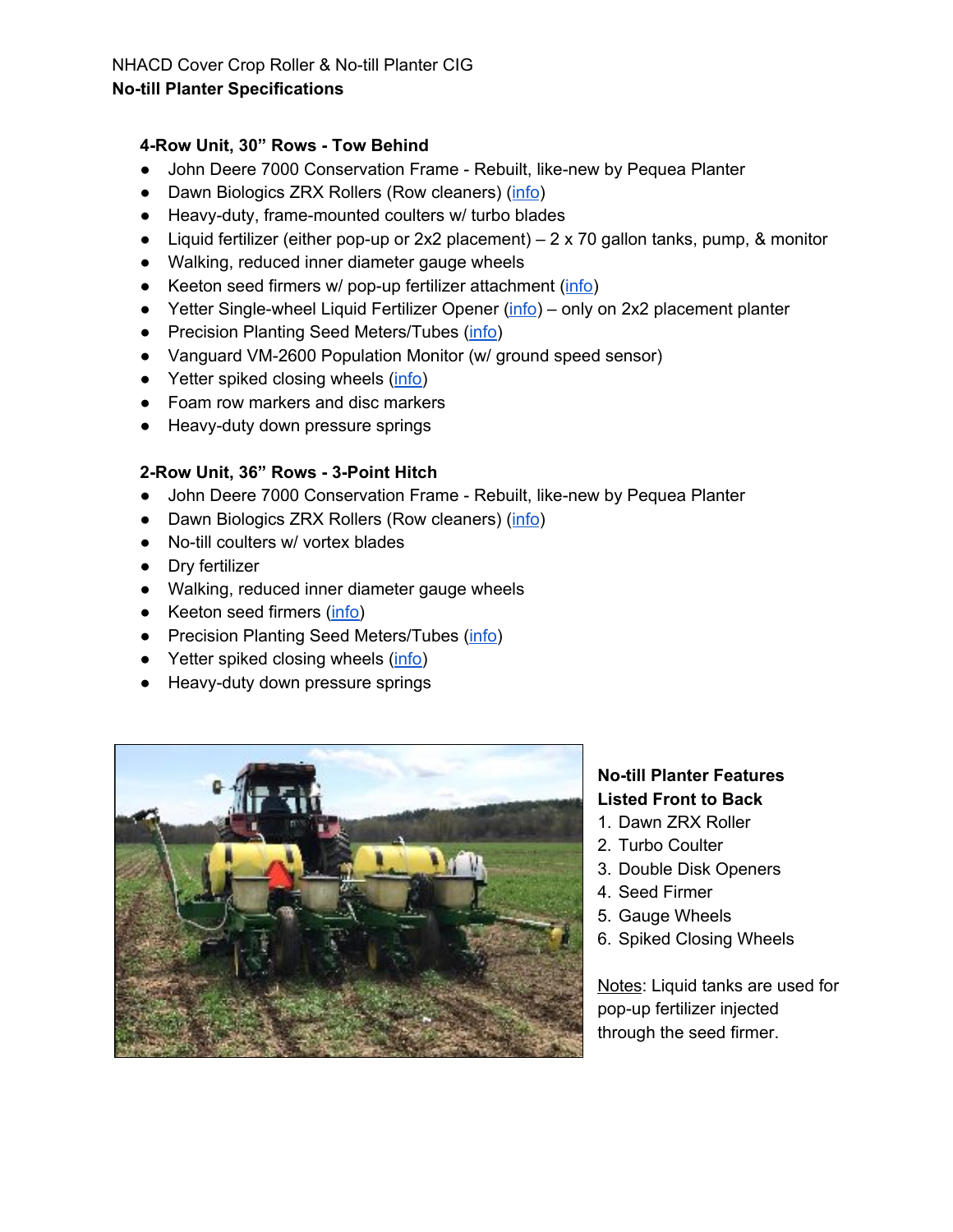### NHACD Cover Crop Roller & No-till Planter CIG **No-till Planter Specifications**

## **4-Row Unit, 30" Rows - Tow Behind**

- John Deere 7000 Conservation Frame Rebuilt, like-new by Pequea Planter
- Dawn Biologics ZRX Rollers (Row cleaners) [\(info](http://www.dawnbiologic.com/zrx/))
- Heavy-duty, frame-mounted coulters w/ turbo blades
- Liquid fertilizer (either pop-up or 2x2 placement) 2 x 70 gallon tanks, pump, & monitor
- Walking, reduced inner diameter gauge wheels
- Keeton seed firmers w/ pop-up fertilizer attachment ([info](http://www.precisionplanting.com/#products/keeton/))
- Yetter Single-wheel Liquid Fertilizer Opener [\(info](http://www.yetterco.com/products/42-plantermount-fertilizer-equipment/323-2968-rowunit-mount-inbetween-single-wheel-fertilizer-opener)) only on 2x2 placement planter
- Precision Planting Seed Meters/Tubes ([info\)](http://www.precisionplanting.com/#products/precisionmeter/)
- Vanguard VM-2600 Population Monitor (w/ ground speed sensor)
- Yetter spiked closing wheels ([info\)](http://www.yetterco.com/products?catId=164&productId=25)
- Foam row markers and disc markers
- Heavy-duty down pressure springs

## **2-Row Unit, 36" Rows - 3-Point Hitch**

- John Deere 7000 Conservation Frame Rebuilt, like-new by Pequea Planter
- Dawn Biologics ZRX Rollers (Row cleaners) [\(info](http://www.dawnbiologic.com/zrx/))
- No-till coulters w/ vortex blades
- Dry fertilizer
- Walking, reduced inner diameter gauge wheels
- Keeton seed firmers [\(info\)](http://www.precisionplanting.com/#products/keeton/)
- Precision Planting Seed Meters/Tubes ([info\)](http://www.precisionplanting.com/#products/precisionmeter/)
- Yetter spiked closing wheels ([info\)](http://www.yetterco.com/products?catId=164&productId=25)
- Heavy-duty down pressure springs



# **No-till Planter Features Listed Front to Back**

- 1. Dawn ZRX Roller
- 2. Turbo Coulter
- 3. Double Disk Openers
- 4. Seed Firmer
- 5. Gauge Wheels
- 6. Spiked Closing Wheels

Notes: Liquid tanks are used for pop-up fertilizer injected through the seed firmer.